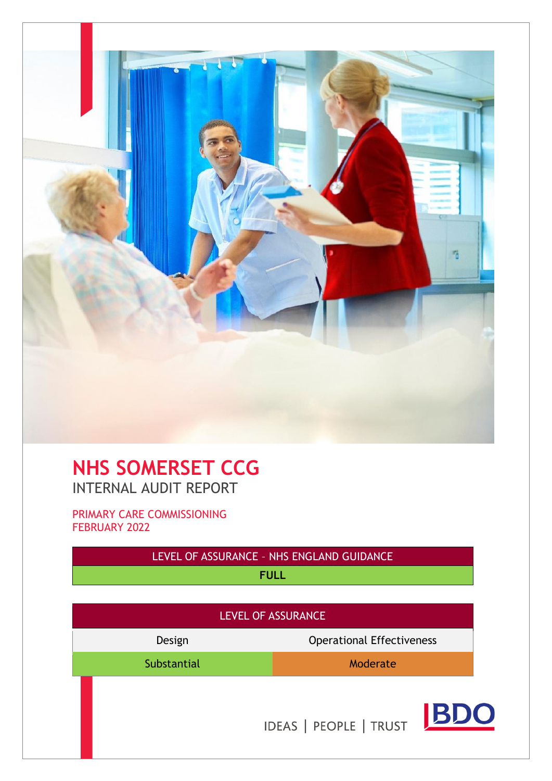

# **NHS SOMERSET CCG** INTERNAL AUDIT REPORT

PRIMARY CARE COMMISSIONING FEBRUARY 2022

LEVEL OF ASSURANCE – NHS ENGLAND GUIDANCE

**FULL**

| <b>LEVEL OF ASSURANCE</b> |                                  |  |
|---------------------------|----------------------------------|--|
| Design                    | <b>Operational Effectiveness</b> |  |
| Substantial<br>Moderate   |                                  |  |
|                           | IDEAS   PEOPLE   TRUST BDO       |  |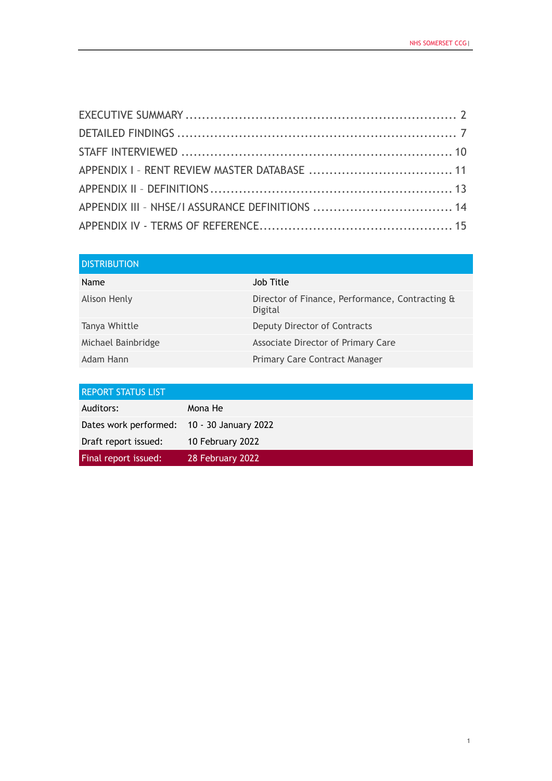| <b>DISTRIBUTION</b> |                                                            |
|---------------------|------------------------------------------------------------|
| <b>Name</b>         | Job Title                                                  |
| Alison Henly        | Director of Finance, Performance, Contracting &<br>Digital |
| Tanya Whittle       | Deputy Director of Contracts                               |
| Michael Bainbridge  | Associate Director of Primary Care                         |
| Adam Hann           | Primary Care Contract Manager                              |

| <b>REPORT STATUS LIST</b>                  |                  |
|--------------------------------------------|------------------|
| Auditors:                                  | Mona He          |
| Dates work performed: 10 - 30 January 2022 |                  |
| Draft report issued:                       | 10 February 2022 |
| Final report issued:                       | 28 February 2022 |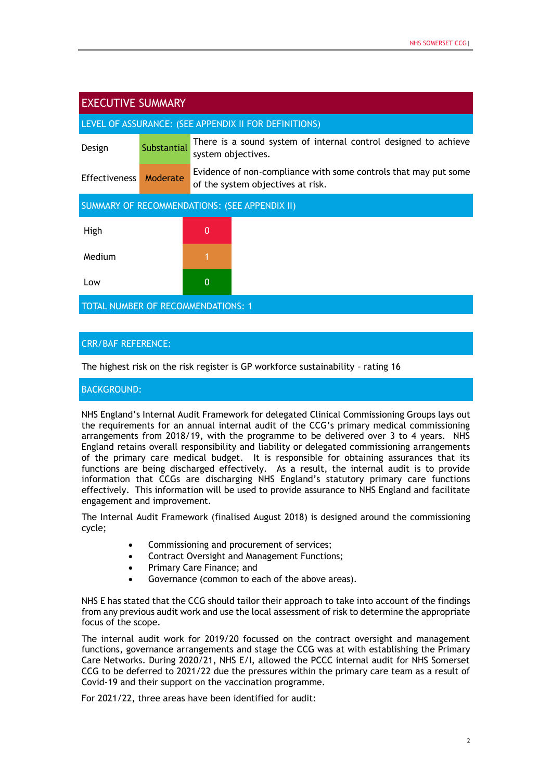<span id="page-2-0"></span>

| <b>EXECUTIVE SUMMARY</b>                      |             |                                                                                                      |  |
|-----------------------------------------------|-------------|------------------------------------------------------------------------------------------------------|--|
|                                               |             | LEVEL OF ASSURANCE: (SEE APPENDIX II FOR DEFINITIONS)                                                |  |
| Design                                        | Substantial | There is a sound system of internal control designed to achieve<br>system objectives.                |  |
| <b>Effectiveness</b>                          | Moderate    | Evidence of non-compliance with some controls that may put some<br>of the system objectives at risk. |  |
| SUMMARY OF RECOMMENDATIONS: (SEE APPENDIX II) |             |                                                                                                      |  |
| High                                          |             | 0                                                                                                    |  |
| Medium                                        |             |                                                                                                      |  |
| 0<br>Low                                      |             |                                                                                                      |  |
| <b>TOTAL NUMBER OF RECOMMENDATIONS: 1</b>     |             |                                                                                                      |  |

### CRR/BAF REFERENCE:

The highest risk on the risk register is GP workforce sustainability – rating 16

### BACKGROUND:

NHS England's Internal Audit Framework for delegated Clinical Commissioning Groups lays out the requirements for an annual internal audit of the CCG's primary medical commissioning arrangements from 2018/19, with the programme to be delivered over 3 to 4 years. NHS England retains overall responsibility and liability or delegated commissioning arrangements of the primary care medical budget. It is responsible for obtaining assurances that its functions are being discharged effectively. As a result, the internal audit is to provide information that CCGs are discharging NHS England's statutory primary care functions effectively. This information will be used to provide assurance to NHS England and facilitate engagement and improvement.

The Internal Audit Framework (finalised August 2018) is designed around the commissioning cycle;

- Commissioning and procurement of services;
- Contract Oversight and Management Functions;
- Primary Care Finance; and
- Governance (common to each of the above areas).

NHS E has stated that the CCG should tailor their approach to take into account of the findings from any previous audit work and use the local assessment of risk to determine the appropriate focus of the scope.

The internal audit work for 2019/20 focussed on the contract oversight and management functions, governance arrangements and stage the CCG was at with establishing the Primary Care Networks. During 2020/21, NHS E/I, allowed the PCCC internal audit for NHS Somerset CCG to be deferred to 2021/22 due the pressures within the primary care team as a result of Covid-19 and their support on the vaccination programme.

For 2021/22, three areas have been identified for audit: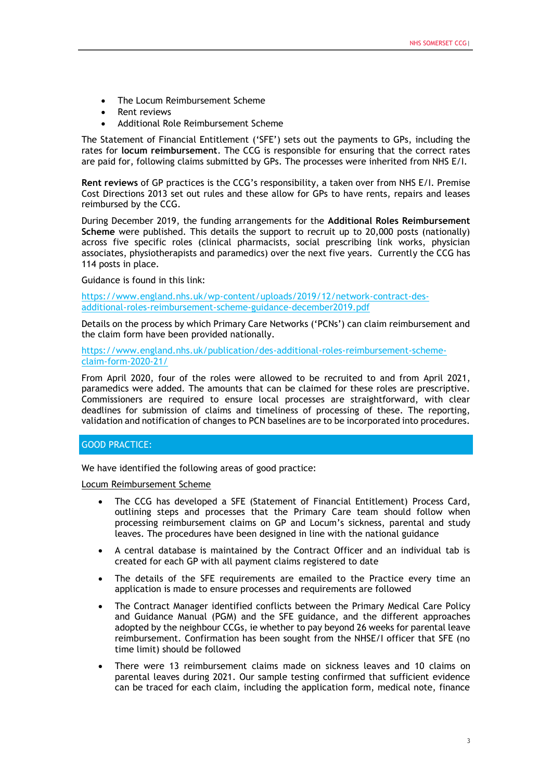- The Locum Reimbursement Scheme
- Rent reviews
- Additional Role Reimbursement Scheme

The Statement of Financial Entitlement ('SFE') sets out the payments to GPs, including the rates for **locum reimbursement**. The CCG is responsible for ensuring that the correct rates are paid for, following claims submitted by GPs. The processes were inherited from NHS E/I.

**Rent reviews** of GP practices is the CCG's responsibility, a taken over from NHS E/I. Premise Cost Directions 2013 set out rules and these allow for GPs to have rents, repairs and leases reimbursed by the CCG.

During December 2019, the funding arrangements for the **Additional Roles Reimbursement Scheme** were published. This details the support to recruit up to 20,000 posts (nationally) across five specific roles (clinical pharmacists, social prescribing link works, physician associates, physiotherapists and paramedics) over the next five years. Currently the CCG has 114 posts in place.

Guidance is found in this link:

[https://www.england.nhs.uk/wp-content/uploads/2019/12/network-contract-des](https://www.england.nhs.uk/wp-content/uploads/2019/12/network-contract-des-additional-roles-reimbursement-scheme-guidance-december2019.pdf)[additional-roles-reimbursement-scheme-guidance-december2019.pdf](https://www.england.nhs.uk/wp-content/uploads/2019/12/network-contract-des-additional-roles-reimbursement-scheme-guidance-december2019.pdf)

Details on the process by which Primary Care Networks ('PCNs') can claim reimbursement and the claim form have been provided nationally.

[https://www.england.nhs.uk/publication/des-additional-roles-reimbursement-scheme](https://www.england.nhs.uk/publication/des-additional-roles-reimbursement-scheme-claim-form-2020-21/)[claim-form-2020-21/](https://www.england.nhs.uk/publication/des-additional-roles-reimbursement-scheme-claim-form-2020-21/)

From April 2020, four of the roles were allowed to be recruited to and from April 2021, paramedics were added. The amounts that can be claimed for these roles are prescriptive. Commissioners are required to ensure local processes are straightforward, with clear deadlines for submission of claims and timeliness of processing of these. The reporting, validation and notification of changes to PCN baselines are to be incorporated into procedures.

### GOOD PRACTICE:

We have identified the following areas of good practice:

Locum Reimbursement Scheme

- The CCG has developed a SFE (Statement of Financial Entitlement) Process Card, outlining steps and processes that the Primary Care team should follow when processing reimbursement claims on GP and Locum's sickness, parental and study leaves. The procedures have been designed in line with the national guidance
- A central database is maintained by the Contract Officer and an individual tab is created for each GP with all payment claims registered to date
- The details of the SFE requirements are emailed to the Practice every time an application is made to ensure processes and requirements are followed
- The Contract Manager identified conflicts between the Primary Medical Care Policy and Guidance Manual (PGM) and the SFE guidance, and the different approaches adopted by the neighbour CCGs, ie whether to pay beyond 26 weeks for parental leave reimbursement. Confirmation has been sought from the NHSE/I officer that SFE (no time limit) should be followed
- There were 13 reimbursement claims made on sickness leaves and 10 claims on parental leaves during 2021. Our sample testing confirmed that sufficient evidence can be traced for each claim, including the application form, medical note, finance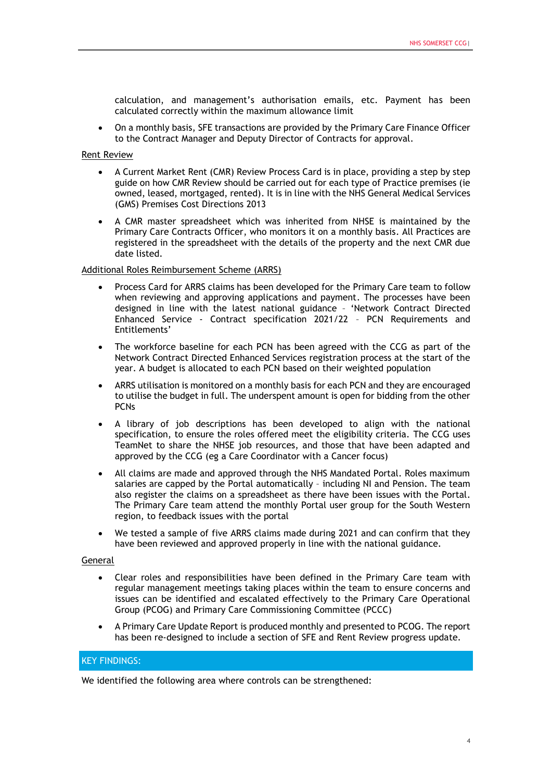calculation, and management's authorisation emails, etc. Payment has been calculated correctly within the maximum allowance limit

• On a monthly basis, SFE transactions are provided by the Primary Care Finance Officer to the Contract Manager and Deputy Director of Contracts for approval.

### Rent Review

- A Current Market Rent (CMR) Review Process Card is in place, providing a step by step guide on how CMR Review should be carried out for each type of Practice premises (ie owned, leased, mortgaged, rented). It is in line with the NHS General Medical Services (GMS) Premises Cost Directions 2013
- A CMR master spreadsheet which was inherited from NHSE is maintained by the Primary Care Contracts Officer, who monitors it on a monthly basis. All Practices are registered in the spreadsheet with the details of the property and the next CMR due date listed.

### Additional Roles Reimbursement Scheme (ARRS)

- Process Card for ARRS claims has been developed for the Primary Care team to follow when reviewing and approving applications and payment. The processes have been designed in line with the latest national guidance – 'Network Contract Directed Enhanced Service - Contract specification 2021/22 – PCN Requirements and Entitlements'
- The workforce baseline for each PCN has been agreed with the CCG as part of the Network Contract Directed Enhanced Services registration process at the start of the year. A budget is allocated to each PCN based on their weighted population
- ARRS utilisation is monitored on a monthly basis for each PCN and they are encouraged to utilise the budget in full. The underspent amount is open for bidding from the other PCNs
- A library of job descriptions has been developed to align with the national specification, to ensure the roles offered meet the eligibility criteria. The CCG uses TeamNet to share the NHSE job resources, and those that have been adapted and approved by the CCG (eg a Care Coordinator with a Cancer focus)
- All claims are made and approved through the NHS Mandated Portal. Roles maximum salaries are capped by the Portal automatically – including NI and Pension. The team also register the claims on a spreadsheet as there have been issues with the Portal. The Primary Care team attend the monthly Portal user group for the South Western region, to feedback issues with the portal
- We tested a sample of five ARRS claims made during 2021 and can confirm that they have been reviewed and approved properly in line with the national guidance.

### General

- Clear roles and responsibilities have been defined in the Primary Care team with regular management meetings taking places within the team to ensure concerns and issues can be identified and escalated effectively to the Primary Care Operational Group (PCOG) and Primary Care Commissioning Committee (PCCC)
- A Primary Care Update Report is produced monthly and presented to PCOG. The report has been re-designed to include a section of SFE and Rent Review progress update.

### KEY FINDINGS:

We identified the following area where controls can be strengthened: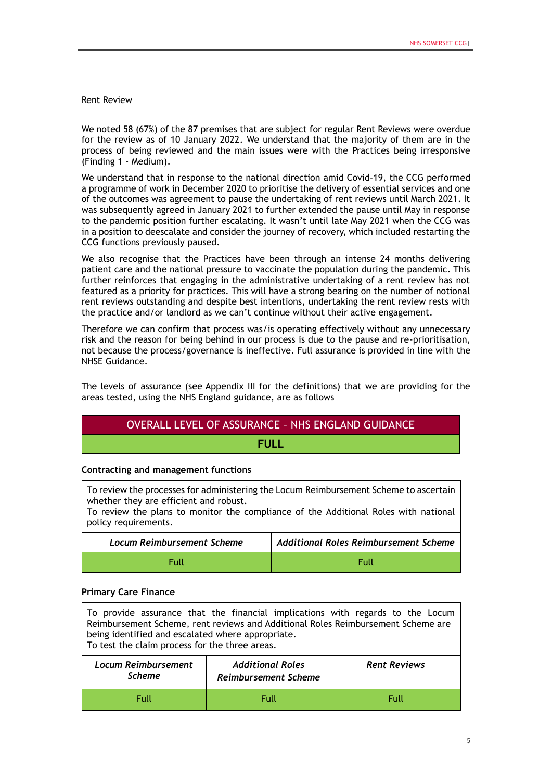### Rent Review

We noted 58 (67%) of the 87 premises that are subject for regular Rent Reviews were overdue for the review as of 10 January 2022. We understand that the majority of them are in the process of being reviewed and the main issues were with the Practices being irresponsive (Finding 1 - Medium).

We understand that in response to the national direction amid Covid-19, the CCG performed a programme of work in December 2020 to prioritise the delivery of essential services and one of the outcomes was agreement to pause the undertaking of rent reviews until March 2021. It was subsequently agreed in January 2021 to further extended the pause until May in response to the pandemic position further escalating. It wasn't until late May 2021 when the CCG was in a position to deescalate and consider the journey of recovery, which included restarting the CCG functions previously paused.

We also recognise that the Practices have been through an intense 24 months delivering patient care and the national pressure to vaccinate the population during the pandemic. This further reinforces that engaging in the administrative undertaking of a rent review has not featured as a priority for practices. This will have a strong bearing on the number of notional rent reviews outstanding and despite best intentions, undertaking the rent review rests with the practice and/or landlord as we can't continue without their active engagement.

Therefore we can confirm that process was/is operating effectively without any unnecessary risk and the reason for being behind in our process is due to the pause and re-prioritisation, not because the process/governance is ineffective. Full assurance is provided in line with the NHSE Guidance.

The levels of assurance (see Appendix III for the definitions) that we are providing for the areas tested, using the NHS England guidance, are as follows

# OVERALL LEVEL OF ASSURANCE – NHS ENGLAND GUIDANCE **FULL**

### **Contracting and management functions**

To review the processes for administering the Locum Reimbursement Scheme to ascertain whether they are efficient and robust.

To review the plans to monitor the compliance of the Additional Roles with national policy requirements.

| <b>Locum Reimbursement Scheme</b> | <b>Additional Roles Reimbursement Scheme</b> |
|-----------------------------------|----------------------------------------------|
| Full                              | Full                                         |

### **Primary Care Finance**

To provide assurance that the financial implications with regards to the Locum Reimbursement Scheme, rent reviews and Additional Roles Reimbursement Scheme are being identified and escalated where appropriate. To test the claim process for the three areas.

| Locum Reimbursement<br><b>Scheme</b> | <b>Additional Roles</b><br><b>Reimbursement Scheme</b> | <b>Rent Reviews</b> |
|--------------------------------------|--------------------------------------------------------|---------------------|
| Full                                 | Enll                                                   | Full                |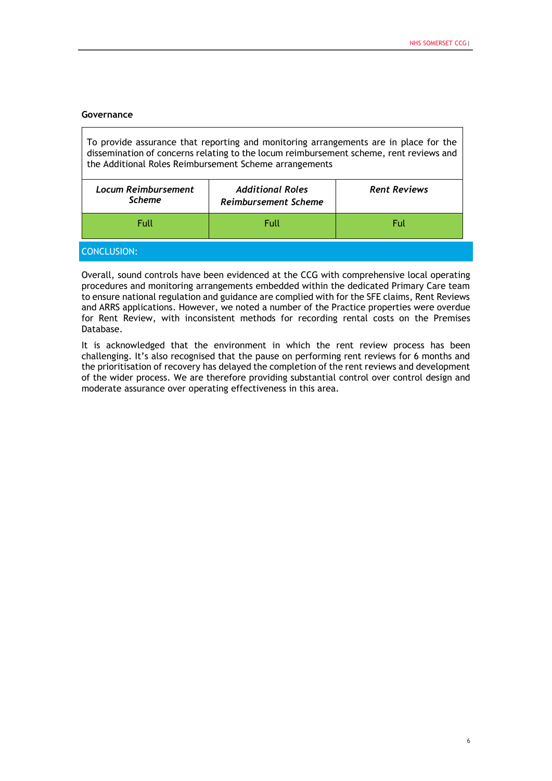### **Governance**

To provide assurance that reporting and monitoring arrangements are in place for the dissemination of concerns relating to the locum reimbursement scheme, rent reviews and the Additional Roles Reimbursement Scheme arrangements

| <b>Locum Reimbursement</b><br><b>Scheme</b> | <b>Additional Roles</b><br><b>Reimbursement Scheme</b> | <b>Rent Reviews</b> |
|---------------------------------------------|--------------------------------------------------------|---------------------|
| Full<br>Full                                |                                                        | Ful                 |
| CONCLUSION:                                 |                                                        |                     |

Overall, sound controls have been evidenced at the CCG with comprehensive local operating procedures and monitoring arrangements embedded within the dedicated Primary Care team to ensure national regulation and guidance are complied with for the SFE claims, Rent Reviews and ARRS applications. However, we noted a number of the Practice properties were overdue for Rent Review, with inconsistent methods for recording rental costs on the Premises Database.

It is acknowledged that the environment in which the rent review process has been challenging. It's also recognised that the pause on performing rent reviews for 6 months and the prioritisation of recovery has delayed the completion of the rent reviews and development of the wider process. We are therefore providing substantial control over control design and moderate assurance over operating effectiveness in this area.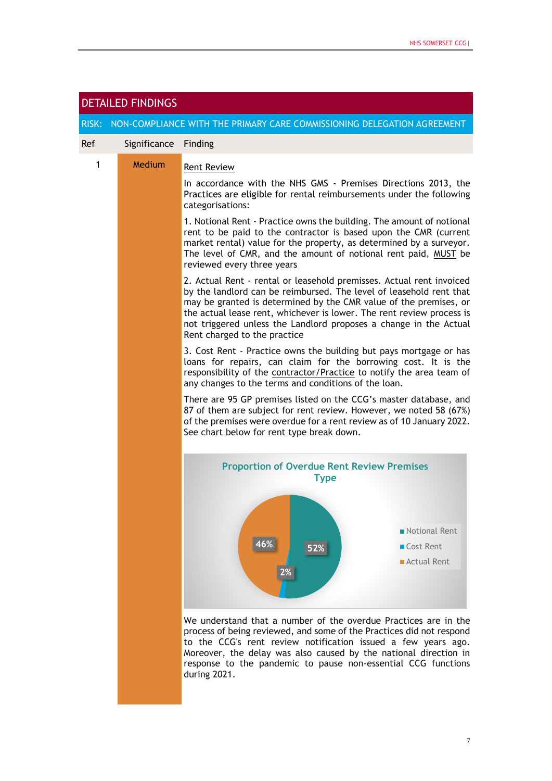<span id="page-7-0"></span>

| <b>DETAILED FINDINGS</b> |                                                                               |                                                                                                                                                                                                                                                                                                                                                                                                |  |  |
|--------------------------|-------------------------------------------------------------------------------|------------------------------------------------------------------------------------------------------------------------------------------------------------------------------------------------------------------------------------------------------------------------------------------------------------------------------------------------------------------------------------------------|--|--|
|                          | RISK: NON-COMPLIANCE WITH THE PRIMARY CARE COMMISSIONING DELEGATION AGREEMENT |                                                                                                                                                                                                                                                                                                                                                                                                |  |  |
| Ref                      | Significance                                                                  | Finding                                                                                                                                                                                                                                                                                                                                                                                        |  |  |
| 1                        | Medium                                                                        | <b>Rent Review</b><br>In accordance with the NHS GMS - Premises Directions 2013, the<br>Practices are eligible for rental reimbursements under the following<br>categorisations:                                                                                                                                                                                                               |  |  |
|                          |                                                                               | 1. Notional Rent - Practice owns the building. The amount of notional<br>rent to be paid to the contractor is based upon the CMR (current<br>market rental) value for the property, as determined by a surveyor.<br>The level of CMR, and the amount of notional rent paid, MUST be<br>reviewed every three years                                                                              |  |  |
|                          |                                                                               | 2. Actual Rent - rental or leasehold premisses. Actual rent invoiced<br>by the landlord can be reimbursed. The level of leasehold rent that<br>may be granted is determined by the CMR value of the premises, or<br>the actual lease rent, whichever is lower. The rent review process is<br>not triggered unless the Landlord proposes a change in the Actual<br>Rent charged to the practice |  |  |
|                          |                                                                               | 3. Cost Rent - Practice owns the building but pays mortgage or has<br>loans for repairs, can claim for the borrowing cost. It is the<br>responsibility of the contractor/Practice to notify the area team of<br>any changes to the terms and conditions of the loan.                                                                                                                           |  |  |
|                          |                                                                               | There are 95 GP premises listed on the CCG's master database, and<br>87 of them are subject for rent review. However, we noted 58 (67%)<br>of the premises were overdue for a rent review as of 10 January 2022.<br>See chart below for rent type break down.                                                                                                                                  |  |  |
|                          |                                                                               | <b>Proportion of Overdue Rent Review Premises</b><br><b>Type</b>                                                                                                                                                                                                                                                                                                                               |  |  |
|                          |                                                                               | Notional Rent<br>$\blacksquare$ Cost Rent<br>Actual Rent                                                                                                                                                                                                                                                                                                                                       |  |  |
|                          |                                                                               | We understand that a number of the overdue Practices are in the<br>process of being reviewed, and some of the Practices did not respond<br>to the CCG's rent review notification issued a few years ago.<br>Moreover, the delay was also caused by the national direction in<br>response to the pandemic to pause non-essential CCG functions                                                  |  |  |

during 2021.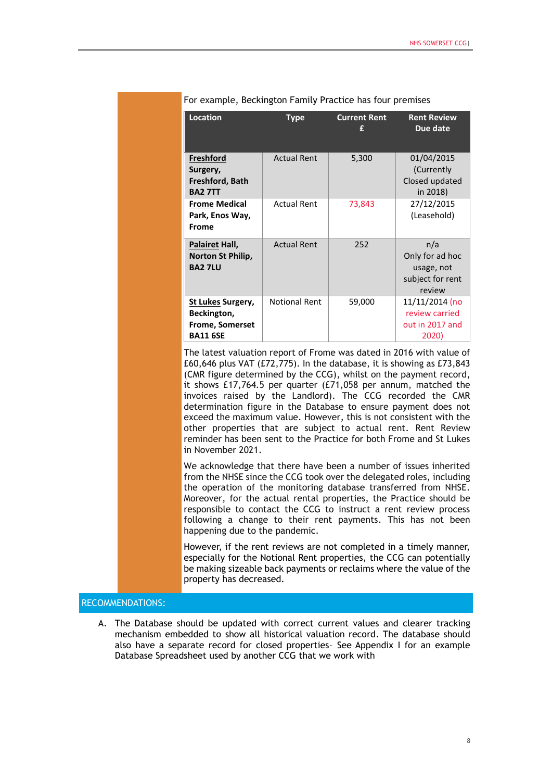| <b>Location</b>                                                                      | <b>Type</b>          | <b>Current Rent</b><br>£ | <b>Rent Review</b><br>Due date                                     |
|--------------------------------------------------------------------------------------|----------------------|--------------------------|--------------------------------------------------------------------|
| <b>Freshford</b><br>Surgery,<br>Freshford, Bath<br><b>BA2 7TT</b>                    | <b>Actual Rent</b>   | 5,300                    | 01/04/2015<br>(Currently<br>Closed updated<br>in 2018)             |
| <b>Frome Medical</b><br>Park, Enos Way,<br><b>Frome</b>                              | <b>Actual Rent</b>   | 73,843                   | 27/12/2015<br>(Leasehold)                                          |
| Palairet Hall,<br><b>Norton St Philip,</b><br><b>BA2 7LU</b>                         | <b>Actual Rent</b>   | 252                      | n/a<br>Only for ad hoc<br>usage, not<br>subject for rent<br>review |
| <b>St Lukes Surgery,</b><br>Beckington,<br><b>Frome, Somerset</b><br><b>BA11 6SE</b> | <b>Notional Rent</b> | 59,000                   | 11/11/2014 (no<br>review carried<br>out in 2017 and<br>2020)       |

For example, Beckington Family Practice has four premises

The latest valuation report of Frome was dated in 2016 with value of £60,646 plus VAT (£72,775). In the database, it is showing as £73,843 (CMR figure determined by the CCG), whilst on the payment record, it shows £17,764.5 per quarter (£71,058 per annum, matched the invoices raised by the Landlord). The CCG recorded the CMR determination figure in the Database to ensure payment does not exceed the maximum value. However, this is not consistent with the other properties that are subject to actual rent. Rent Review reminder has been sent to the Practice for both Frome and St Lukes in November 2021.

We acknowledge that there have been a number of issues inherited from the NHSE since the CCG took over the delegated roles, including the operation of the monitoring database transferred from NHSE. Moreover, for the actual rental properties, the Practice should be responsible to contact the CCG to instruct a rent review process following a change to their rent payments. This has not been happening due to the pandemic.

However, if the rent reviews are not completed in a timely manner, especially for the Notional Rent properties, the CCG can potentially be making sizeable back payments or reclaims where the value of the property has decreased.

### RECOMMENDATIONS:

A. The Database should be updated with correct current values and clearer tracking mechanism embedded to show all historical valuation record. The database should also have a separate record for closed properties– See Appendix I for an example Database Spreadsheet used by another CCG that we work with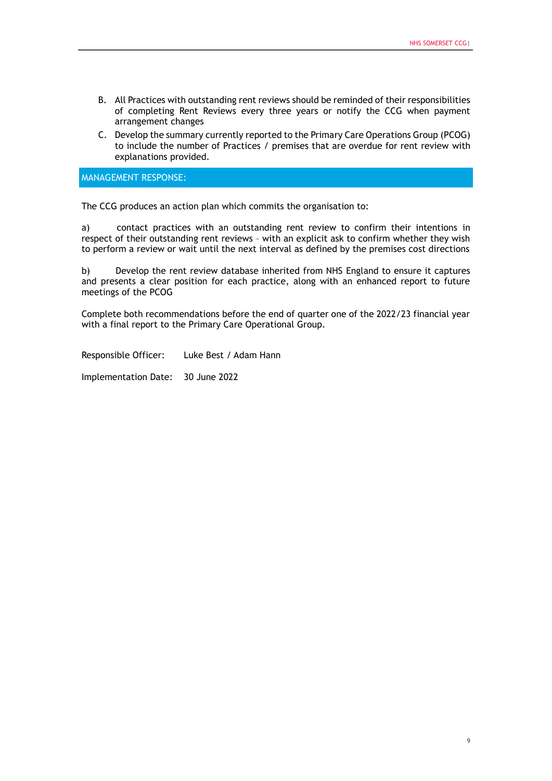- B. All Practices with outstanding rent reviews should be reminded of their responsibilities of completing Rent Reviews every three years or notify the CCG when payment arrangement changes
- C. Develop the summary currently reported to the Primary Care Operations Group (PCOG) to include the number of Practices / premises that are overdue for rent review with explanations provided.

MANAGEMENT RESPONSE:

The CCG produces an action plan which commits the organisation to:

a) contact practices with an outstanding rent review to confirm their intentions in respect of their outstanding rent reviews – with an explicit ask to confirm whether they wish to perform a review or wait until the next interval as defined by the premises cost directions

b) Develop the rent review database inherited from NHS England to ensure it captures and presents a clear position for each practice, along with an enhanced report to future meetings of the PCOG

Complete both recommendations before the end of quarter one of the 2022/23 financial year with a final report to the Primary Care Operational Group.

Responsible Officer: Luke Best / Adam Hann

Implementation Date: 30 June 2022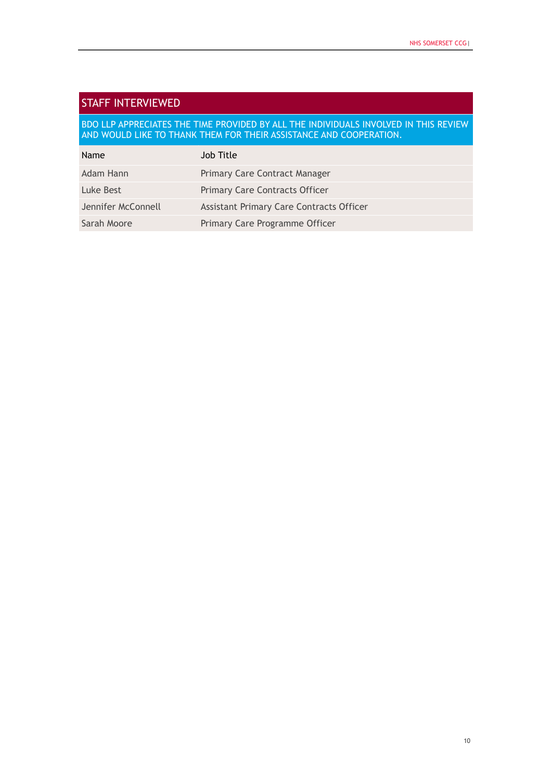### <span id="page-10-0"></span>STAFF INTERVIEWED

### BDO LLP APPRECIATES THE TIME PROVIDED BY ALL THE INDIVIDUALS INVOLVED IN THIS REVIEW AND WOULD LIKE TO THANK THEM FOR THEIR ASSISTANCE AND COOPERATION.

| Name               | Job Title                                |
|--------------------|------------------------------------------|
| Adam Hann          | Primary Care Contract Manager            |
| Luke Best          | <b>Primary Care Contracts Officer</b>    |
| Jennifer McConnell | Assistant Primary Care Contracts Officer |
| Sarah Moore        | Primary Care Programme Officer           |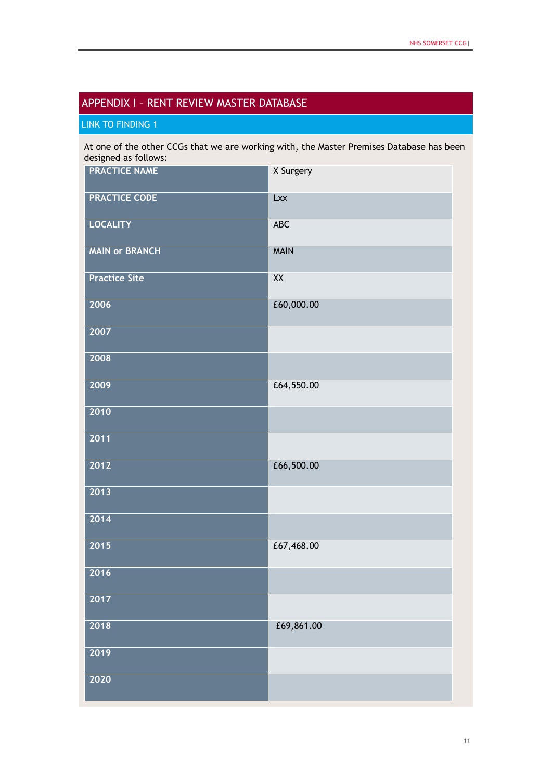## <span id="page-11-0"></span>APPENDIX I – RENT REVIEW MASTER DATABASE

### LINK TO FINDING 1

At one of the other CCGs that we are working with, the Master Premises Database has been designed as follows:

| <b>PRACTICE NAME</b>  | X Surgery   |
|-----------------------|-------------|
| <b>PRACTICE CODE</b>  | Lxx         |
| <b>LOCALITY</b>       | ABC         |
| <b>MAIN or BRANCH</b> | <b>MAIN</b> |
| <b>Practice Site</b>  | XX          |
| 2006                  | £60,000.00  |
| 2007                  |             |
| 2008                  |             |
| 2009                  | £64,550.00  |
| 2010                  |             |
| 2011                  |             |
| 2012                  | £66,500.00  |
| 2013                  |             |
| 2014                  |             |
| 2015                  | £67,468.00  |
| 2016                  |             |
| 2017                  |             |
| 2018                  | £69,861.00  |
| 2019                  |             |
| 2020                  |             |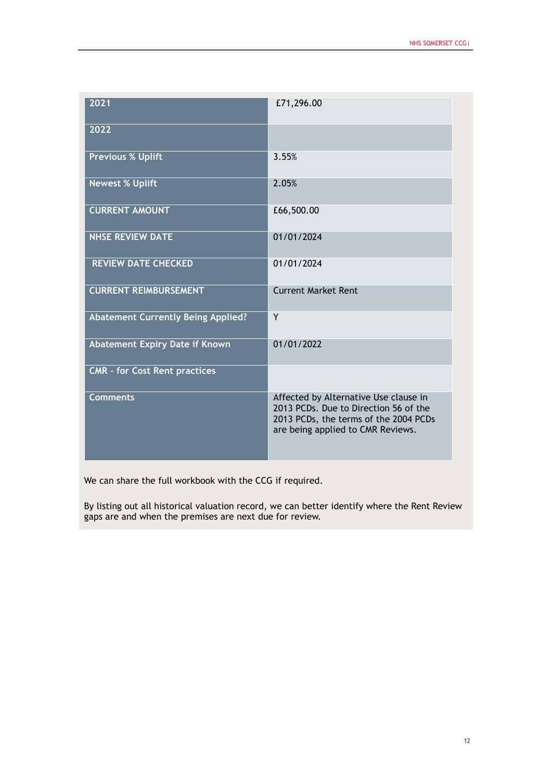| 2021                                      | £71,296.00                                                                                                                                                   |
|-------------------------------------------|--------------------------------------------------------------------------------------------------------------------------------------------------------------|
| 2022                                      |                                                                                                                                                              |
| <b>Previous % Uplift</b>                  | 3.55%                                                                                                                                                        |
| <b>Newest % Uplift</b>                    | 2.05%                                                                                                                                                        |
| <b>CURRENT AMOUNT</b>                     | £66,500.00                                                                                                                                                   |
| <b>NHSE REVIEW DATE</b>                   | 01/01/2024                                                                                                                                                   |
| <b>REVIEW DATE CHECKED</b>                | 01/01/2024                                                                                                                                                   |
| <b>CURRENT REIMBURSEMENT</b>              | <b>Current Market Rent</b>                                                                                                                                   |
| <b>Abatement Currently Being Applied?</b> | Y                                                                                                                                                            |
| Abatement Expiry Date if Known            | 01/01/2022                                                                                                                                                   |
| <b>CMR - for Cost Rent practices</b>      |                                                                                                                                                              |
| <b>Comments</b>                           | Affected by Alternative Use clause in<br>2013 PCDs. Due to Direction 56 of the<br>2013 PCDs, the terms of the 2004 PCDs<br>are being applied to CMR Reviews. |

We can share the full workbook with the CCG if required.

By listing out all historical valuation record, we can better identify where the Rent Review gaps are and when the premises are next due for review.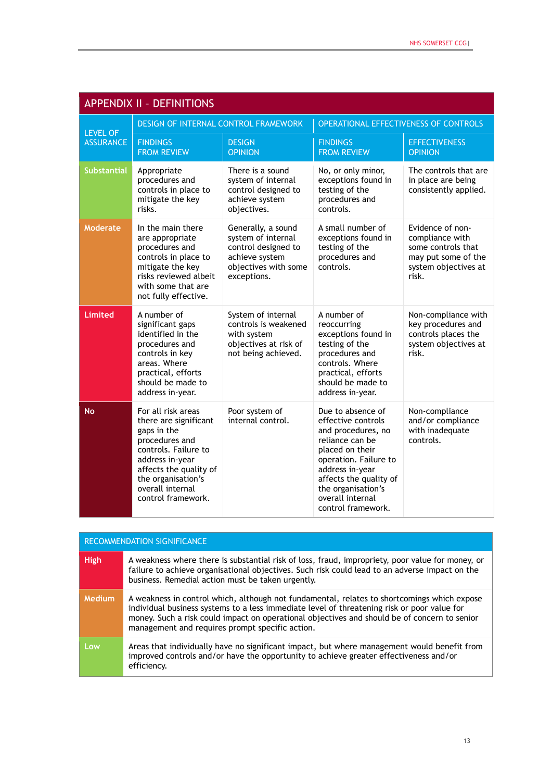<span id="page-13-0"></span>

| <b>APPENDIX II - DEFINITIONS</b>    |                                                                                                                                                                                                                   |                                                                                                                          |                                                                                                                                                                                                                                           |                                                                                                                   |
|-------------------------------------|-------------------------------------------------------------------------------------------------------------------------------------------------------------------------------------------------------------------|--------------------------------------------------------------------------------------------------------------------------|-------------------------------------------------------------------------------------------------------------------------------------------------------------------------------------------------------------------------------------------|-------------------------------------------------------------------------------------------------------------------|
| <b>LEVEL OF</b><br><b>ASSURANCE</b> | DESIGN OF INTERNAL CONTROL FRAMEWORK                                                                                                                                                                              |                                                                                                                          | OPERATIONAL EFFECTIVENESS OF CONTROLS                                                                                                                                                                                                     |                                                                                                                   |
|                                     | <b>FINDINGS</b><br><b>FROM REVIEW</b>                                                                                                                                                                             | <b>DESIGN</b><br><b>OPINION</b>                                                                                          | <b>FINDINGS</b><br><b>FROM REVIEW</b>                                                                                                                                                                                                     | <b>EFFECTIVENESS</b><br><b>OPINION</b>                                                                            |
| <b>Substantial</b>                  | Appropriate<br>procedures and<br>controls in place to<br>mitigate the key<br>risks.                                                                                                                               | There is a sound<br>system of internal<br>control designed to<br>achieve system<br>objectives.                           | No, or only minor,<br>exceptions found in<br>testing of the<br>procedures and<br>controls.                                                                                                                                                | The controls that are<br>in place are being<br>consistently applied.                                              |
| <b>Moderate</b>                     | In the main there<br>are appropriate<br>procedures and<br>controls in place to<br>mitigate the key<br>risks reviewed albeit<br>with some that are<br>not fully effective.                                         | Generally, a sound<br>system of internal<br>control designed to<br>achieve system<br>objectives with some<br>exceptions. | A small number of<br>exceptions found in<br>testing of the<br>procedures and<br>controls.                                                                                                                                                 | Evidence of non-<br>compliance with<br>some controls that<br>may put some of the<br>system objectives at<br>risk. |
| Limited                             | A number of<br>significant gaps<br>identified in the<br>procedures and<br>controls in key<br>areas. Where<br>practical, efforts<br>should be made to<br>address in-year.                                          | System of internal<br>controls is weakened<br>with system<br>objectives at risk of<br>not being achieved.                | A number of<br>reoccurring<br>exceptions found in<br>testing of the<br>procedures and<br>controls. Where<br>practical, efforts<br>should be made to<br>address in-year.                                                                   | Non-compliance with<br>key procedures and<br>controls places the<br>system objectives at<br>risk.                 |
| <b>No</b>                           | For all risk areas<br>there are significant<br>gaps in the<br>procedures and<br>controls. Failure to<br>address in-year<br>affects the quality of<br>the organisation's<br>overall internal<br>control framework. | Poor system of<br>internal control.                                                                                      | Due to absence of<br>effective controls<br>and procedures, no<br>reliance can be<br>placed on their<br>operation. Failure to<br>address in-year<br>affects the quality of<br>the organisation's<br>overall internal<br>control framework. | Non-compliance<br>and/or compliance<br>with inadequate<br>controls.                                               |

| <b>RECOMMENDATION SIGNIFICANCE</b> |                                                                                                                                                                                                                                                                                                                                               |  |
|------------------------------------|-----------------------------------------------------------------------------------------------------------------------------------------------------------------------------------------------------------------------------------------------------------------------------------------------------------------------------------------------|--|
| <b>High</b>                        | A weakness where there is substantial risk of loss, fraud, impropriety, poor value for money, or<br>failure to achieve organisational objectives. Such risk could lead to an adverse impact on the<br>business. Remedial action must be taken urgently.                                                                                       |  |
| <b>Medium</b>                      | A weakness in control which, although not fundamental, relates to shortcomings which expose<br>individual business systems to a less immediate level of threatening risk or poor value for<br>money. Such a risk could impact on operational objectives and should be of concern to senior<br>management and requires prompt specific action. |  |
| Low                                | Areas that individually have no significant impact, but where management would benefit from<br>improved controls and/or have the opportunity to achieve greater effectiveness and/or<br>efficiency.                                                                                                                                           |  |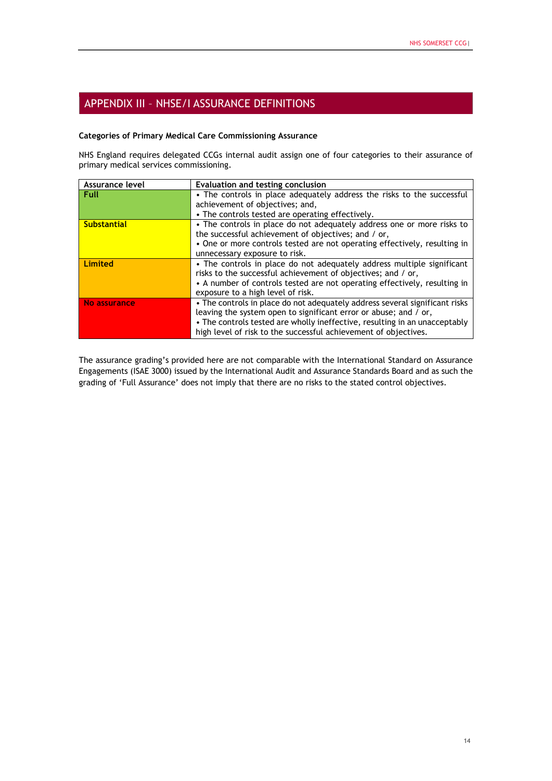### <span id="page-14-0"></span>APPENDIX III – NHSE/I ASSURANCE DEFINITIONS

### **Categories of Primary Medical Care Commissioning Assurance**

NHS England requires delegated CCGs internal audit assign one of four categories to their assurance of primary medical services commissioning.

| <b>Assurance level</b> | <b>Evaluation and testing conclusion</b>                                                                                                                                                                                                                                                         |
|------------------------|--------------------------------------------------------------------------------------------------------------------------------------------------------------------------------------------------------------------------------------------------------------------------------------------------|
| <b>Full</b>            | • The controls in place adequately address the risks to the successful                                                                                                                                                                                                                           |
|                        | achievement of objectives; and,                                                                                                                                                                                                                                                                  |
|                        | • The controls tested are operating effectively.                                                                                                                                                                                                                                                 |
| <b>Substantial</b>     | • The controls in place do not adequately address one or more risks to                                                                                                                                                                                                                           |
|                        | the successful achievement of objectives; and / or,                                                                                                                                                                                                                                              |
|                        | • One or more controls tested are not operating effectively, resulting in                                                                                                                                                                                                                        |
|                        | unnecessary exposure to risk.                                                                                                                                                                                                                                                                    |
| <b>Limited</b>         | • The controls in place do not adequately address multiple significant<br>risks to the successful achievement of objectives; and / or,<br>• A number of controls tested are not operating effectively, resulting in<br>exposure to a high level of risk.                                         |
| No assurance           | • The controls in place do not adequately address several significant risks<br>leaving the system open to significant error or abuse; and / or,<br>• The controls tested are wholly ineffective, resulting in an unacceptably<br>high level of risk to the successful achievement of objectives. |

The assurance grading's provided here are not comparable with the International Standard on Assurance Engagements (ISAE 3000) issued by the International Audit and Assurance Standards Board and as such the grading of 'Full Assurance' does not imply that there are no risks to the stated control objectives.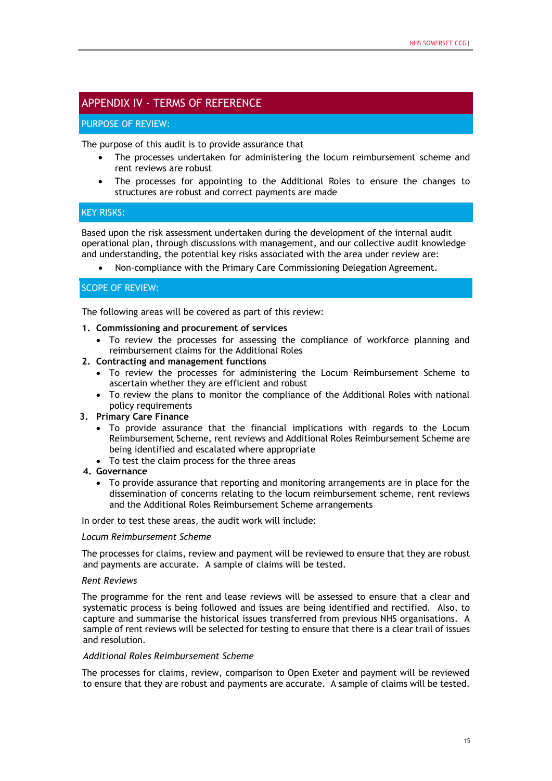### <span id="page-15-0"></span>APPENDIX IV - TERMS OF REFERENCE

### PURPOSE OF REVIEW:

The purpose of this audit is to provide assurance that

- The processes undertaken for administering the locum reimbursement scheme and rent reviews are robust
- The processes for appointing to the Additional Roles to ensure the changes to structures are robust and correct payments are made

### KEY RISKS:

Based upon the risk assessment undertaken during the development of the internal audit operational plan, through discussions with management, and our collective audit knowledge and understanding, the potential key risks associated with the area under review are:

• Non-compliance with the Primary Care Commissioning Delegation Agreement.

### SCOPE OF REVIEW:

The following areas will be covered as part of this review:

### **1. Commissioning and procurement of services**

- To review the processes for assessing the compliance of workforce planning and reimbursement claims for the Additional Roles
- **2. Contracting and management functions**
	- To review the processes for administering the Locum Reimbursement Scheme to ascertain whether they are efficient and robust
	- To review the plans to monitor the compliance of the Additional Roles with national policy requirements

### **3. Primary Care Finance**

- To provide assurance that the financial implications with regards to the Locum Reimbursement Scheme, rent reviews and Additional Roles Reimbursement Scheme are being identified and escalated where appropriate
- To test the claim process for the three areas

### **4. Governance**

• To provide assurance that reporting and monitoring arrangements are in place for the dissemination of concerns relating to the locum reimbursement scheme, rent reviews and the Additional Roles Reimbursement Scheme arrangements

In order to test these areas, the audit work will include:

### *Locum Reimbursement Scheme*

The processes for claims, review and payment will be reviewed to ensure that they are robust and payments are accurate. A sample of claims will be tested.

#### *Rent Reviews*

The programme for the rent and lease reviews will be assessed to ensure that a clear and systematic process is being followed and issues are being identified and rectified. Also, to capture and summarise the historical issues transferred from previous NHS organisations. A sample of rent reviews will be selected for testing to ensure that there is a clear trail of issues and resolution.

### *Additional Roles Reimbursement Scheme*

The processes for claims, review, comparison to Open Exeter and payment will be reviewed to ensure that they are robust and payments are accurate. A sample of claims will be tested.